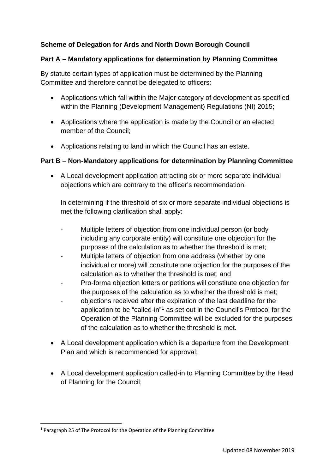# **Scheme of Delegation for Ards and North Down Borough Council**

## **Part A – Mandatory applications for determination by Planning Committee**

By statute certain types of application must be determined by the Planning Committee and therefore cannot be delegated to officers:

- Applications which fall within the Major category of development as specified within the Planning (Development Management) Regulations (NI) 2015;
- Applications where the application is made by the Council or an elected member of the Council;
- Applications relating to land in which the Council has an estate.

#### **Part B – Non-Mandatory applications for determination by Planning Committee**

• A Local development application attracting six or more separate individual objections which are contrary to the officer's recommendation.

In determining if the threshold of six or more separate individual objections is met the following clarification shall apply:

- Multiple letters of objection from one individual person (or body including any corporate entity) will constitute one objection for the purposes of the calculation as to whether the threshold is met;
- Multiple letters of objection from one address (whether by one individual or more) will constitute one objection for the purposes of the calculation as to whether the threshold is met; and
- Pro-forma objection letters or petitions will constitute one objection for the purposes of the calculation as to whether the threshold is met;
- objections received after the expiration of the last deadline for the application to be "called-in"[1](#page-0-0) as set out in the Council's Protocol for the Operation of the Planning Committee will be excluded for the purposes of the calculation as to whether the threshold is met.
- A Local development application which is a departure from the Development Plan and which is recommended for approval;
- A Local development application called-in to Planning Committee by the Head of Planning for the Council;

<span id="page-0-0"></span><sup>1</sup> Paragraph 25 of The Protocol for the Operation of the Planning Committee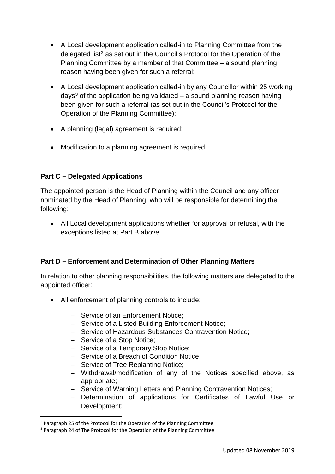- A Local development application called-in to Planning Committee from the delegated list<sup>[2](#page-1-0)</sup> as set out in the Council's Protocol for the Operation of the Planning Committee by a member of that Committee – a sound planning reason having been given for such a referral;
- A Local development application called-in by any Councillor within 25 working days<sup>[3](#page-1-1)</sup> of the application being validated  $-$  a sound planning reason having been given for such a referral (as set out in the Council's Protocol for the Operation of the Planning Committee);
- A planning (legal) agreement is required;
- Modification to a planning agreement is required.

## **Part C – Delegated Applications**

The appointed person is the Head of Planning within the Council and any officer nominated by the Head of Planning, who will be responsible for determining the following:

• All Local development applications whether for approval or refusal, with the exceptions listed at Part B above.

## **Part D – Enforcement and Determination of Other Planning Matters**

In relation to other planning responsibilities, the following matters are delegated to the appointed officer:

- All enforcement of planning controls to include:
	- − Service of an Enforcement Notice;
	- − Service of a Listed Building Enforcement Notice;
	- − Service of Hazardous Substances Contravention Notice;
	- − Service of a Stop Notice;
	- − Service of a Temporary Stop Notice;
	- − Service of a Breach of Condition Notice;
	- − Service of Tree Replanting Notice;
	- − Withdrawal/modification of any of the Notices specified above, as appropriate;
	- − Service of Warning Letters and Planning Contravention Notices;
	- − Determination of applications for Certificates of Lawful Use or Development;

<span id="page-1-0"></span><sup>&</sup>lt;sup>2</sup> Paragraph 25 of the Protocol for the Operation of the Planning Committee

<span id="page-1-1"></span><sup>&</sup>lt;sup>3</sup> Paragraph 24 of The Protocol for the Operation of the Planning Committee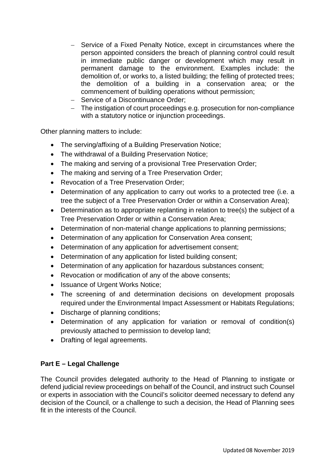- − Service of a Fixed Penalty Notice, except in circumstances where the person appointed considers the breach of planning control could result in immediate public danger or development which may result in permanent damage to the environment. Examples include: the demolition of, or works to, a listed building; the felling of protected trees; the demolition of a building in a conservation area; or the commencement of building operations without permission;
- − Service of a Discontinuance Order;
- − The instigation of court proceedings e.g. prosecution for non-compliance with a statutory notice or injunction proceedings.

Other planning matters to include:

- The serving/affixing of a Building Preservation Notice;
- The withdrawal of a Building Preservation Notice;
- The making and serving of a provisional Tree Preservation Order;
- The making and serving of a Tree Preservation Order;
- Revocation of a Tree Preservation Order;
- Determination of any application to carry out works to a protected tree (i.e. a tree the subject of a Tree Preservation Order or within a Conservation Area);
- Determination as to appropriate replanting in relation to tree(s) the subject of a Tree Preservation Order or within a Conservation Area;
- Determination of non-material change applications to planning permissions;
- Determination of any application for Conservation Area consent;
- Determination of any application for advertisement consent;
- Determination of any application for listed building consent:
- Determination of any application for hazardous substances consent;
- Revocation or modification of any of the above consents;
- Issuance of Urgent Works Notice;
- The screening of and determination decisions on development proposals required under the Environmental Impact Assessment or Habitats Regulations;
- Discharge of planning conditions;
- Determination of any application for variation or removal of condition(s) previously attached to permission to develop land;
- Drafting of legal agreements.

## **Part E – Legal Challenge**

The Council provides delegated authority to the Head of Planning to instigate or defend judicial review proceedings on behalf of the Council, and instruct such Counsel or experts in association with the Council's solicitor deemed necessary to defend any decision of the Council, or a challenge to such a decision, the Head of Planning sees fit in the interests of the Council.